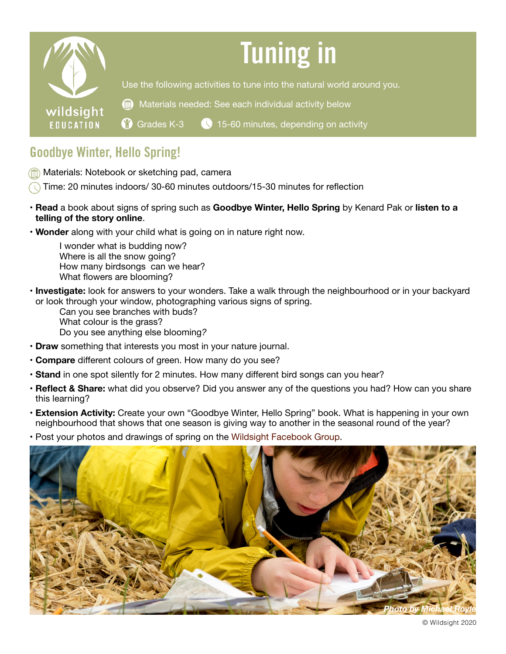

## Goodbye Winter, Hello Spring!

- **Materials: Notebook or sketching pad, camera**
- Time: 20 minutes indoors/ 30-60 minutes outdoors/15-30 minutes for reflection
- **Read** a book about signs of spring such as **[Goodbye Winter, Hello Spring](https://www.amazon.ca/Goodbye-Winter-Hello-Spring-Kenard/dp/1250151724)** by Kenard Pak or **l[isten to a](https://www.youtube.com/watch?v=m7M1RbRbKSA)  [telling of the story online](https://www.youtube.com/watch?v=m7M1RbRbKSA)**.
- **Wonder** along with your child what is going on in nature right now.

I wonder what is budding now? Where is all the snow going? How many birdsongs can we hear? What flowers are blooming?

- **Investigate:** look for answers to your wonders. Take a walk through the neighbourhood or in your backyard or look through your window, photographing various signs of spring.
	- Can you see branches with buds? What colour is the grass? Do you see anything else blooming*?*
- **Draw** something that interests you most in your nature journal.
- **Compare** different colours of green. How many do you see?
- **Stand** in one spot silently for 2 minutes. How many different bird songs can you hear?
- **Reflect & Share:** what did you observe? Did you answer any of the questions you had? How can you share this learning?
- **Extension Activity:** Create your own "Goodbye Winter, Hello Spring" book. What is happening in your own neighbourhood that shows that one season is giving way to another in the seasonal round of the year?
- Post your photos and drawings of spring on the Wildsight [Facebook](https://www.facebook.com/groups/700209310518515/) Group.



© Wildsight 2020